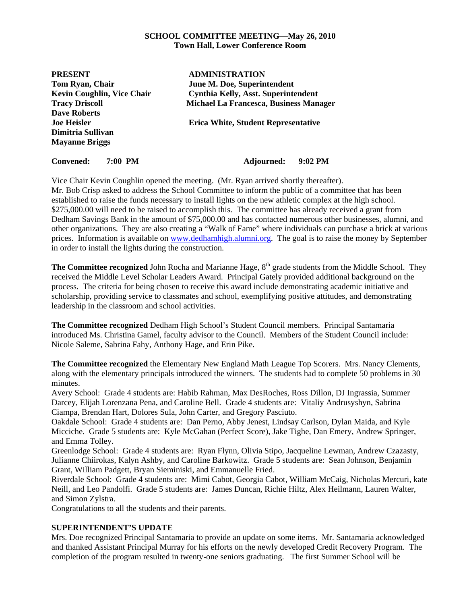### **SCHOOL COMMITTEE MEETING—May 26, 2010 Town Hall, Lower Conference Room**

| <b>PRESENT</b>                               | <b>ADMINISTRATION</b>                         |
|----------------------------------------------|-----------------------------------------------|
| Tom Ryan, Chair                              | June M. Doe, Superintendent                   |
| <b>Kevin Coughlin, Vice Chair</b>            | <b>Cynthia Kelly, Asst. Superintendent</b>    |
| <b>Tracy Driscoll</b><br><b>Dave Roberts</b> | <b>Michael La Francesca, Business Manager</b> |
|                                              |                                               |
| Dimitria Sullivan                            |                                               |
| <b>Mayanne Briggs</b>                        |                                               |
| <b>Convened:</b><br>7:00 PM                  | 9:02 PM<br>Adjourned:                         |

Vice Chair Kevin Coughlin opened the meeting. (Mr. Ryan arrived shortly thereafter). Mr. Bob Crisp asked to address the School Committee to inform the public of a committee that has been established to raise the funds necessary to install lights on the new athletic complex at the high school. \$275,000.00 will need to be raised to accomplish this. The committee has already received a grant from Dedham Savings Bank in the amount of \$75,000.00 and has contacted numerous other businesses, alumni, and other organizations. They are also creating a "Walk of Fame" where individuals can purchase a brick at various prices. Information is available on www.dedhamhigh.alumni.org. The goal is to raise the money by September in order to install the lights during the construction.

**The Committee recognized** John Rocha and Marianne Hage, 8<sup>th</sup> grade students from the Middle School. They received the Middle Level Scholar Leaders Award. Principal Gately provided additional background on the process. The criteria for being chosen to receive this award include demonstrating academic initiative and scholarship, providing service to classmates and school, exemplifying positive attitudes, and demonstrating leadership in the classroom and school activities.

**The Committee recognized** Dedham High School's Student Council members. Principal Santamaria introduced Ms. Christina Gamel, faculty advisor to the Council. Members of the Student Council include: Nicole Saleme, Sabrina Fahy, Anthony Hage, and Erin Pike.

**The Committee recognized** the Elementary New England Math League Top Scorers. Mrs. Nancy Clements, along with the elementary principals introduced the winners. The students had to complete 50 problems in 30 minutes.

Avery School: Grade 4 students are: Habib Rahman, Max DesRoches, Ross Dillon, DJ Ingrassia, Summer Darcey, Elijah Lorenzana Pena, and Caroline Bell. Grade 4 students are: Vitaliy Andrusyshyn, Sabrina Ciampa, Brendan Hart, Dolores Sula, John Carter, and Gregory Pasciuto.

Oakdale School: Grade 4 students are: Dan Perno, Abby Jenest, Lindsay Carlson, Dylan Maida, and Kyle Micciche. Grade 5 students are: Kyle McGahan (Perfect Score), Jake Tighe, Dan Emery, Andrew Springer, and Emma Tolley.

Greenlodge School: Grade 4 students are: Ryan Flynn, Olivia Stipo, Jacqueline Lewman, Andrew Czazasty, Julianne Chiirokas, Kalyn Ashby, and Caroline Barkowitz. Grade 5 students are: Sean Johnson, Benjamin Grant, William Padgett, Bryan Sieminiski, and Emmanuelle Fried.

Riverdale School: Grade 4 students are: Mimi Cabot, Georgia Cabot, William McCaig, Nicholas Mercuri, kate Neill, and Leo Pandolfi. Grade 5 students are: James Duncan, Richie Hiltz, Alex Heilmann, Lauren Walter, and Simon Zylstra.

Congratulations to all the students and their parents.

### **SUPERINTENDENT'S UPDATE**

Mrs. Doe recognized Principal Santamaria to provide an update on some items. Mr. Santamaria acknowledged and thanked Assistant Principal Murray for his efforts on the newly developed Credit Recovery Program. The completion of the program resulted in twenty-one seniors graduating. The first Summer School will be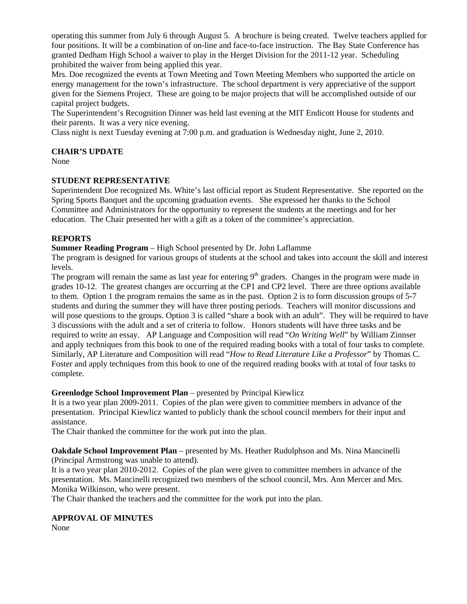operating this summer from July 6 through August 5. A brochure is being created. Twelve teachers applied for four positions. It will be a combination of on-line and face-to-face instruction. The Bay State Conference has granted Dedham High School a waiver to play in the Herget Division for the 2011-12 year. Scheduling prohibited the waiver from being applied this year.

Mrs. Doe recognized the events at Town Meeting and Town Meeting Members who supported the article on energy management for the town's infrastructure. The school department is very appreciative of the support given for the Siemens Project. These are going to be major projects that will be accomplished outside of our capital project budgets.

The Superintendent's Recognition Dinner was held last evening at the MIT Endicott House for students and their parents. It was a very nice evening.

Class night is next Tuesday evening at 7:00 p.m. and graduation is Wednesday night, June 2, 2010.

### **CHAIR'S UPDATE**

None

### **STUDENT REPRESENTATIVE**

Superintendent Doe recognized Ms. White's last official report as Student Representative. She reported on the Spring Sports Banquet and the upcoming graduation events. She expressed her thanks to the School Committee and Administrators for the opportunity to represent the students at the meetings and for her education. The Chair presented her with a gift as a token of the committee's appreciation.

## **REPORTS**

**Summer Reading Program** – High School presented by Dr. John Laflamme

The program is designed for various groups of students at the school and takes into account the skill and interest levels.

The program will remain the same as last year for entering  $9<sup>th</sup>$  graders. Changes in the program were made in grades 10-12. The greatest changes are occurring at the CP1 and CP2 level. There are three options available to them. Option 1 the program remains the same as in the past. Option 2 is to form discussion groups of 5-7 students and during the summer they will have three posting periods. Teachers will monitor discussions and will pose questions to the groups. Option 3 is called "share a book with an adult". They will be required to have 3 discussions with the adult and a set of criteria to follow. Honors students will have three tasks and be required to write an essay. AP Language and Composition will read "*On Writing Well*" by William Zinnser and apply techniques from this book to one of the required reading books with a total of four tasks to complete. Similarly, AP Literature and Composition will read "*How to Read Literature Like a Professor*" by Thomas C. Foster and apply techniques from this book to one of the required reading books with at total of four tasks to complete.

### **Greenlodge School Improvement Plan** – presented by Principal Kiewlicz

It is a two year plan 2009-2011. Copies of the plan were given to committee members in advance of the presentation. Principal Kiewlicz wanted to publicly thank the school council members for their input and assistance.

The Chair thanked the committee for the work put into the plan.

**Oakdale School Improvement Plan** – presented by Ms. Heather Rudolphson and Ms. Nina Mancinelli (Principal Armstrong was unable to attend).

It is a two year plan 2010-2012. Copies of the plan were given to committee members in advance of the presentation. Ms. Mancinelli recognized two members of the school council, Mrs. Ann Mercer and Mrs. Monika Wilkinson, who were present.

The Chair thanked the teachers and the committee for the work put into the plan.

# **APPROVAL OF MINUTES**

None